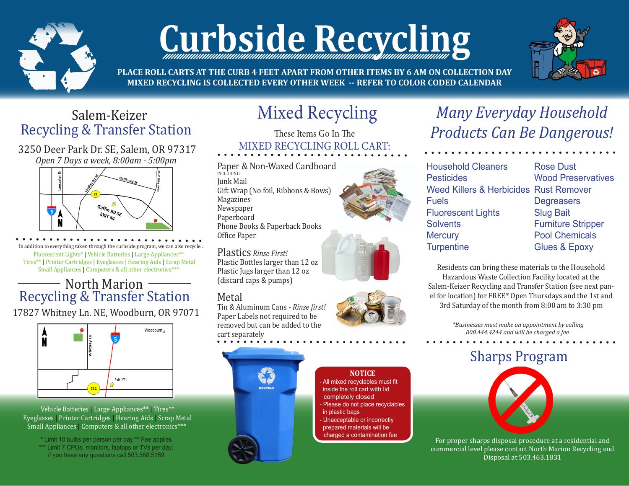

# **Curbside Recycling**



**PLACE ROLL CARTS AT THE CURB 4 FEET APART FROM OTHER ITEMS BY 6 AM ON COLLECTION DAY MIXED RECYCLING IS COLLECTED EVERY OTHER WEEK -- REFER TO COLOR CODED CALENDAR**

### Salem-Keizer Recycling & Transfer Station

3250 Deer Park Dr. SE, Salem, OR 97317 *Open 7 Days a week, 8:00am - 5:00pm*



In addition to everything taken through the curbside program, we can also recycle... Fluorescent Lights\* | Vehicle Batteries | Large Appliances\*\* Tires\*\* | Printer Cartridges | Eyeglasses | Hearing Aids | Scrap Metal Small Appliances | Computers & all other electronics\*\*\*

#### North Marion Recycling & Transfer Station

17827 Whitney Ln. NE, Woodburn, OR 97071



 Vehicle Batteries | Large Appliances\*\* | Tires\*\* Eyeglasses | Printer Cartridges | Hearing Aids | Scrap Metal Small Appliances | Computers & all other electronics\*\*\*

\* Limit 10 bulbs per person per day \*\* Fee applies \*\*\* Limit 7 CPUs, monitors, laptops or TVs per day; if you have any questions call 503.588.5169

# Mixed Recycling

These Items Go In The MIXED RECYCLING ROLL CART:

Paper & Non-Waxed Cardboard INCLUDING Junk Mail Gift Wrap (No foil, Ribbons & Bows) Magazines Newspaper Paperboard Phone Books & Paperback Books Office Paper

Plastics *Rinse First!* Plastic Bottles larger than 12 oz Plastic Jugs larger than 12 oz (discard caps & pumps)

#### Metal

Tin & Aluminum Cans - *Rinse first!* Paper Labels not required to be removed but can be added to the cart separately







## *Many Everyday Household Products Can Be Dangerous!*

Household Cleaners **Pesticides** Weed Killers & Herbicides Fuels Fluorescent Lights **Solvents Mercury Turpentine** 

Residents can bring these materials to the Household Hazardous Waste Collection Facility located at the Salem-Keizer Recycling and Transfer Station (see next panel for location) for FREE\* Open Thursdays and the 1st and 3rd Saturday of the month from 8:00 am to 3:30 pm

> *\*Businesses must make an appointment by calling 800.444.4244 and will be charged a fee*

## Sharps Program



For proper sharps disposal procedure at a residential and commercial level please contact North Marion Recycling and Disposal at 503.463.1831





**NOTICE**  All mixed recyclables must fit inside the roll cart with lid completely closed - Please do not place recyclables

 - Unacceptable or incorrectly prepared materials will be charged a contamination fee

in plastic bags